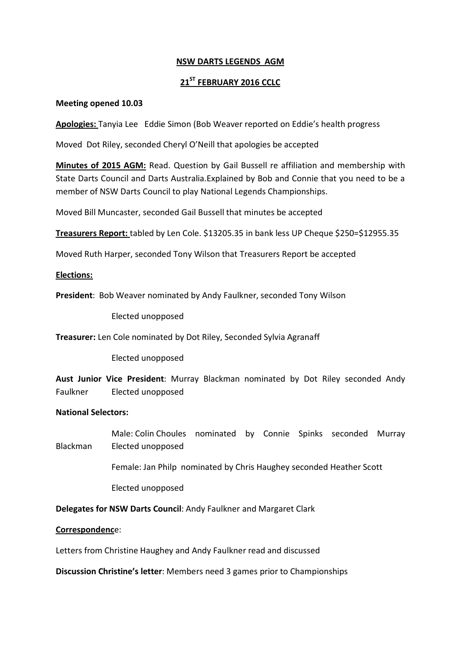## **NSW DARTS LEGENDS AGM**

# **21ST FEBRUARY 2016 CCLC**

#### **Meeting opened 10.03**

**Apologies:** Tanyia Lee Eddie Simon (Bob Weaver reported on Eddie's health progress

Moved Dot Riley, seconded Cheryl O'Neill that apologies be accepted

**Minutes of 2015 AGM:** Read. Question by Gail Bussell re affiliation and membership with State Darts Council and Darts Australia.Explained by Bob and Connie that you need to be a member of NSW Darts Council to play National Legends Championships.

Moved Bill Muncaster, seconded Gail Bussell that minutes be accepted

**Treasurers Report:** tabled by Len Cole. \$13205.35 in bank less UP Cheque \$250=\$12955.35

Moved Ruth Harper, seconded Tony Wilson that Treasurers Report be accepted

### **Elections:**

**President**: Bob Weaver nominated by Andy Faulkner, seconded Tony Wilson

Elected unopposed

**Treasurer:** Len Cole nominated by Dot Riley, Seconded Sylvia Agranaff

Elected unopposed

**Aust Junior Vice President**: Murray Blackman nominated by Dot Riley seconded Andy Faulkner Elected unopposed

### **National Selectors:**

 Male: Colin Choules nominated by Connie Spinks seconded Murray Blackman Elected unopposed

Female: Jan Philp nominated by Chris Haughey seconded Heather Scott

Elected unopposed

**Delegates for NSW Darts Council**: Andy Faulkner and Margaret Clark

### **Correspondenc**e:

Letters from Christine Haughey and Andy Faulkner read and discussed

**Discussion Christine's letter**: Members need 3 games prior to Championships